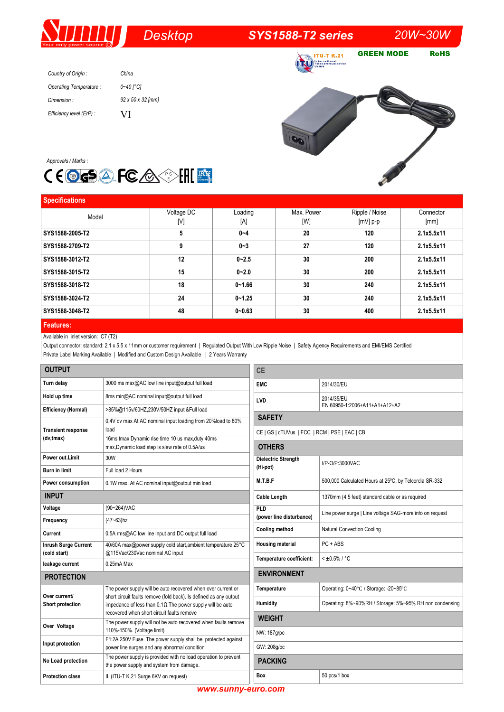# *Desktop SYS1588-T2 series 20W~30W*

**TU-T K.21** 

GREEN MODE RoHS

| Country of Origin:       | China                 |
|--------------------------|-----------------------|
| Operating Temperature:   | $0 - 40$ $\degree$ C1 |
| Dimension:               | 92 x 50 x 32 [mm]     |
| Efficiency level (ErP) : | V <sub>1</sub>        |





| <b>Specifications</b> |            |            |            |                |            |
|-----------------------|------------|------------|------------|----------------|------------|
| Model                 | Voltage DC | Loading    | Max. Power | Ripple / Noise | Connector  |
|                       | [V]        | [A]        | [W]        | $[mV]$ p-p     | [mm]       |
| SYS1588-2005-T2       | 5          | $0 - 4$    | 20         | 120            | 2.1x5.5x11 |
| SYS1588-2709-T2       | 9          | $0 - 3$    | 27         | 120            | 2.1x5.5x11 |
| SYS1588-3012-T2       | 12         | $0 - 2.5$  | 30         | 200            | 2.1x5.5x11 |
| SYS1588-3015-T2       | 15         | $0 - 2.0$  | 30         | 200            | 2.1x5.5x11 |
| SYS1588-3018-T2       | 18         | $0 - 1.66$ | 30         | 240            | 2.1x5.5x11 |
| SYS1588-3024-T2       | 24         | $0 - 1.25$ | 30         | 240            | 2.1x5.5x11 |
| SYS1588-3048-T2       | 48         | $0 - 0.63$ | 30         | 400            | 2.1x5.5x11 |
|                       |            |            |            |                |            |

## **Features:**

### Available in inlet version: C7 (T2)

Output connector: standard: 2.1 x 5.5 x 11mm or customer requirement | Regulated Output With Low Ripple Noise | Safety Agency Requirements and EMI/EMS Certified Private Label Marking Available | Modified and Custom Design Available | 2 Years Warranty

| <b>OUTPUT</b>                               |                                                                                                                                                                                                                                                       | <b>CE</b>                                                      |                                                          |  |  |
|---------------------------------------------|-------------------------------------------------------------------------------------------------------------------------------------------------------------------------------------------------------------------------------------------------------|----------------------------------------------------------------|----------------------------------------------------------|--|--|
| Turn delay                                  | 3000 ms max@AC low line input@output full load                                                                                                                                                                                                        | <b>EMC</b>                                                     | 2014/30/EU                                               |  |  |
| Hold up time                                | 8ms min@AC nominal input@output full load                                                                                                                                                                                                             | LVD                                                            | 2014/35/EU                                               |  |  |
| <b>Efficiency (Normal)</b>                  | >85%@115v/60HZ,230V/50HZ input &Full load                                                                                                                                                                                                             | EN 60950-1:2006+A11+A1+A12+A2                                  |                                                          |  |  |
| <b>Transient response</b>                   | 0.4V dv max At AC nominal input loading from 20%load to 80%<br>load                                                                                                                                                                                   | <b>SAFETY</b>                                                  |                                                          |  |  |
| (dv,tmax)                                   | 16ms tmax Dynamic rise time 10 us max, duty 40ms<br>max, Dynamic load step is slew rate of 0.5A/us                                                                                                                                                    | CE   GS   cTUVus   FCC   RCM   PSE   EAC   CB<br><b>OTHERS</b> |                                                          |  |  |
| Power out.Limit                             | 30W                                                                                                                                                                                                                                                   | <b>Dielectric Strength</b>                                     | I/P-O/P:3000VAC                                          |  |  |
| Burn in limit                               | Full load 2 Hours                                                                                                                                                                                                                                     | (Hi-pot)                                                       |                                                          |  |  |
| Power consumption                           | 0.1W max. At AC nominal input@output min load                                                                                                                                                                                                         | M.T.B.F                                                        | 500,000 Calculated Hours at 25°C, by Telcordia SR-332    |  |  |
| <b>INPUT</b>                                |                                                                                                                                                                                                                                                       | <b>Cable Length</b>                                            | 1370mm (4.5 feet) standard cable or as required          |  |  |
| Voltage                                     | (90~264) VAC                                                                                                                                                                                                                                          | <b>PLD</b>                                                     | Line power surge   Line voltage SAG-more info on request |  |  |
| Frequency                                   | $(47 - 63)$ hz                                                                                                                                                                                                                                        | (power line disturbance)                                       |                                                          |  |  |
| Current                                     | 0.5A rms@AC low line input and DC output full load                                                                                                                                                                                                    | Cooling method                                                 | <b>Natural Convection Cooling</b>                        |  |  |
| <b>Inrush Surge Current</b><br>(cold start) | 40/60A max@power supply cold start, ambient temperature 25°C<br>@115Vac/230Vac nominal AC input                                                                                                                                                       | <b>Housing material</b>                                        | PC + ABS                                                 |  |  |
| leakage current                             | 0.25mA Max                                                                                                                                                                                                                                            | Temperature coefficient:                                       | $< 10.5\% / °C$                                          |  |  |
| <b>PROTECTION</b>                           |                                                                                                                                                                                                                                                       | <b>ENVIRONMENT</b>                                             |                                                          |  |  |
| Over current/<br>Short protection           | The power supply will be auto recovered when over current or<br>short circuit faults remove (fold back). Is defined as any output<br>impedance of less than $0.1\Omega$ . The power supply will be auto<br>recovered when short circuit faults remove | Temperature                                                    | Operating: 0~40°C / Storage: -20~85°C                    |  |  |
|                                             |                                                                                                                                                                                                                                                       | Humidity                                                       | Operating: 8%~90%RH / Storage: 5%~95% RH non condensing  |  |  |
|                                             | The power supply will not be auto recovered when faults remove                                                                                                                                                                                        | <b>WEIGHT</b>                                                  |                                                          |  |  |
| Over Voltage                                | 110%-150%. (Voltage limit)                                                                                                                                                                                                                            | NW: 187g/pc                                                    |                                                          |  |  |
| Input protection                            | F1:2A 250V Fuse The power supply shall be protected against<br>power line surges and any abnormal condition                                                                                                                                           | GW: 208g/pc                                                    |                                                          |  |  |
| No Load protection                          | The power supply is provided with no load operation to prevent<br>the power supply and system from damage.                                                                                                                                            | <b>PACKING</b>                                                 |                                                          |  |  |
| <b>Protection class</b>                     | II, (ITU-T K.21 Surge 6KV on request)                                                                                                                                                                                                                 | Box                                                            | 50 pcs/1 box                                             |  |  |